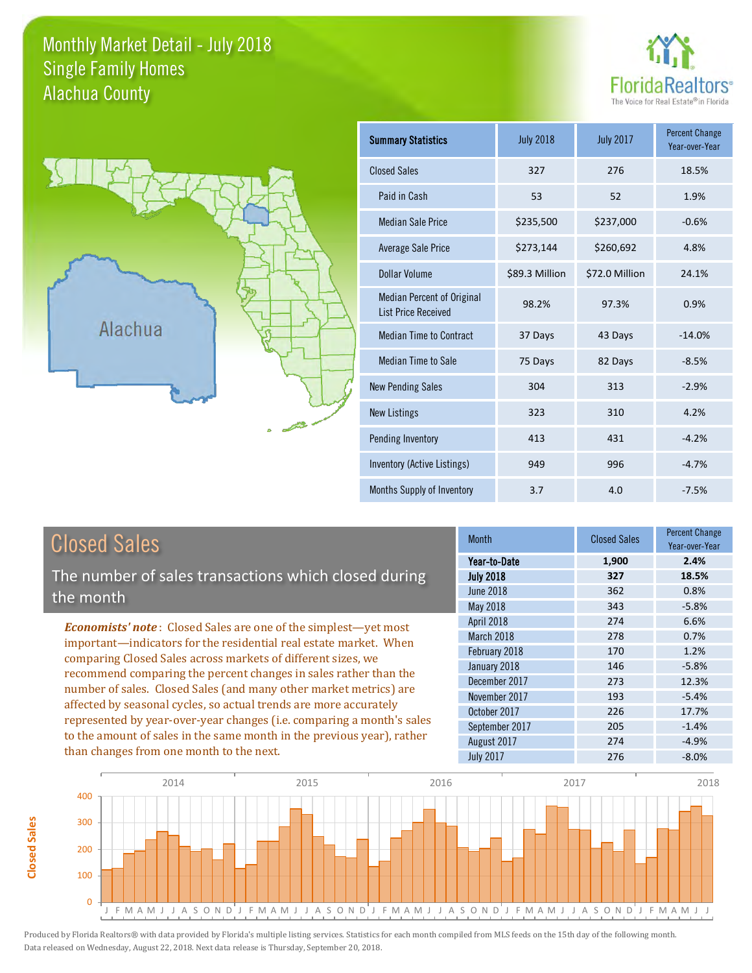### Monthly Market Detail - July 2018 Alachua County Single Family Homes





**Closed Sales**

**Closed Sales** 

| <b>Summary Statistics</b>                                       | <b>July 2018</b> | <b>July 2017</b> | <b>Percent Change</b><br>Year-over-Year |
|-----------------------------------------------------------------|------------------|------------------|-----------------------------------------|
| <b>Closed Sales</b>                                             | 327              | 276              | 18.5%                                   |
| Paid in Cash                                                    | 53               | 52               | 1.9%                                    |
| <b>Median Sale Price</b>                                        | \$235,500        | \$237,000        | $-0.6%$                                 |
| <b>Average Sale Price</b>                                       | \$273,144        | \$260,692        | 4.8%                                    |
| Dollar Volume                                                   | \$89.3 Million   | \$72.0 Million   | 24.1%                                   |
| <b>Median Percent of Original</b><br><b>List Price Received</b> | 98.2%            | 97.3%            | 0.9%                                    |
| <b>Median Time to Contract</b>                                  | 37 Days          | 43 Days          | $-14.0%$                                |
| Median Time to Sale                                             | 75 Days          | 82 Days          | $-8.5%$                                 |
| <b>New Pending Sales</b>                                        | 304              | 313              | $-2.9%$                                 |
| <b>New Listings</b>                                             | 323              | 310              | 4.2%                                    |
| Pending Inventory                                               | 413              | 431              | $-4.2%$                                 |
| Inventory (Active Listings)                                     | 949              | 996              | $-4.7%$                                 |
| Months Supply of Inventory                                      | 3.7              | 4.0              | $-7.5%$                                 |

| <b>Closed Sales</b>                                                                                                                                                                                                                                                             | <b>Month</b>     | <b>Closed Sales</b> | <b>Percent Change</b><br>Year-over-Year |
|---------------------------------------------------------------------------------------------------------------------------------------------------------------------------------------------------------------------------------------------------------------------------------|------------------|---------------------|-----------------------------------------|
|                                                                                                                                                                                                                                                                                 | Year-to-Date     | 1,900               | 2.4%                                    |
| The number of sales transactions which closed during                                                                                                                                                                                                                            | <b>July 2018</b> | 327                 | 18.5%                                   |
| the month                                                                                                                                                                                                                                                                       | <b>June 2018</b> | 362                 | 0.8%                                    |
|                                                                                                                                                                                                                                                                                 | May 2018         | 343                 | $-5.8%$                                 |
| <b>Economists' note:</b> Closed Sales are one of the simplest—yet most<br>important—indicators for the residential real estate market. When<br>comparing Closed Sales across markets of different sizes, we<br>recommend comparing the percent changes in sales rather than the | April 2018       | 274                 | 6.6%                                    |
|                                                                                                                                                                                                                                                                                 | March 2018       | 278                 | 0.7%                                    |
|                                                                                                                                                                                                                                                                                 | February 2018    | 170                 | 1.2%                                    |
|                                                                                                                                                                                                                                                                                 | January 2018     | 146                 | $-5.8%$                                 |
|                                                                                                                                                                                                                                                                                 | December 2017    | 273                 | 12.3%                                   |
| number of sales. Closed Sales (and many other market metrics) are                                                                                                                                                                                                               | November 2017    | 193                 | $-5.4%$                                 |
| affected by seasonal cycles, so actual trends are more accurately                                                                                                                                                                                                               | October 2017     | 226                 | 17.7%                                   |
| represented by year-over-year changes (i.e. comparing a month's sales                                                                                                                                                                                                           | September 2017   | 205                 | $-1.4%$                                 |
| to the amount of sales in the same month in the previous year), rather                                                                                                                                                                                                          | August 2017      | 274                 | $-4.9%$                                 |
| than changes from one month to the next.                                                                                                                                                                                                                                        | <b>July 2017</b> | 276                 | $-8.0%$                                 |

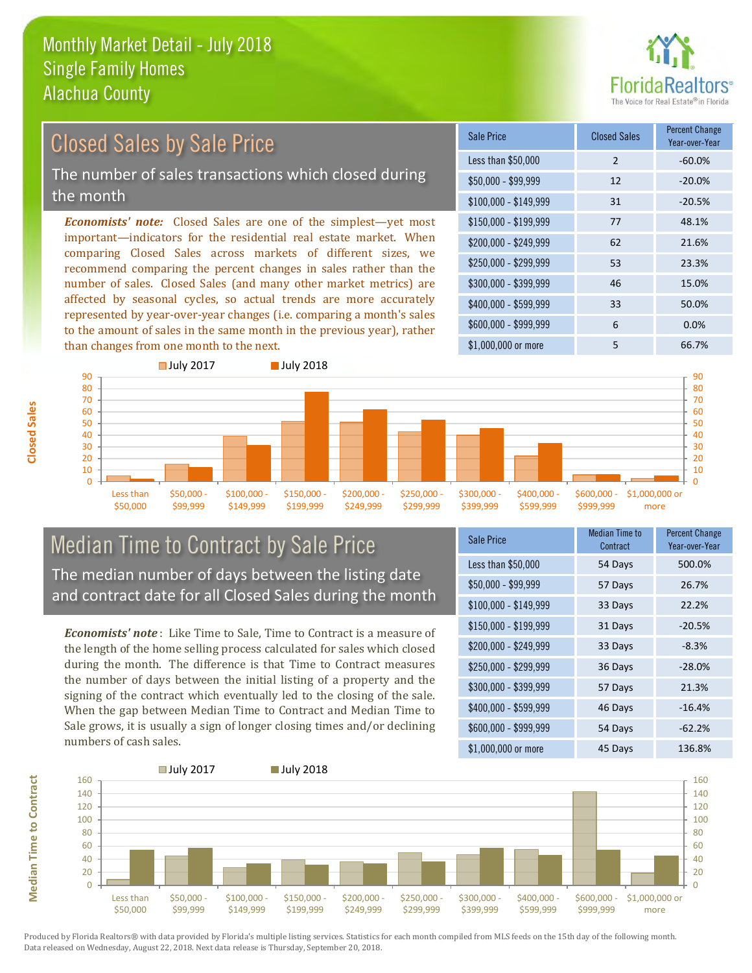

### Closed Sales by Sale Price

The number of sales transactions which closed during the month

*Economists' note:* Closed Sales are one of the simplest—yet most important—indicators for the residential real estate market. When comparing Closed Sales across markets of different sizes, we recommend comparing the percent changes in sales rather than the number of sales. Closed Sales (and many other market metrics) are affected by seasonal cycles, so actual trends are more accurately represented by year-over-year changes (i.e. comparing a month's sales to the amount of sales in the same month in the previous year), rather than changes from one month to the next.

| Sale Price            | <b>Closed Sales</b> | <b>Percent Change</b><br>Year-over-Year |
|-----------------------|---------------------|-----------------------------------------|
| Less than \$50,000    | $\overline{2}$      | $-60.0%$                                |
| \$50,000 - \$99,999   | 12                  | $-20.0\%$                               |
| $$100,000 - $149,999$ | 31                  | $-20.5%$                                |
| $$150,000 - $199,999$ | 77                  | 48.1%                                   |
| $$200,000 - $249,999$ | 62                  | 21.6%                                   |
| \$250,000 - \$299,999 | 53                  | 23.3%                                   |
| \$300,000 - \$399,999 | 46                  | 15.0%                                   |
| \$400,000 - \$599,999 | 33                  | 50.0%                                   |
| \$600,000 - \$999,999 | 6                   | 0.0%                                    |
| \$1,000,000 or more   | 5                   | 66.7%                                   |



### Median Time to Contract by Sale Price The median number of days between the listing date and contract date for all Closed Sales during the month

*Economists' note* : Like Time to Sale, Time to Contract is a measure of the length of the home selling process calculated for sales which closed during the month. The difference is that Time to Contract measures the number of days between the initial listing of a property and the signing of the contract which eventually led to the closing of the sale. When the gap between Median Time to Contract and Median Time to Sale grows, it is usually a sign of longer closing times and/or declining numbers of cash sales.

| Sale Price |                       | <b>Median Time to</b><br>Contract | <b>Percent Change</b><br>Year-over-Year |
|------------|-----------------------|-----------------------------------|-----------------------------------------|
|            | Less than \$50,000    | 54 Days                           | 500.0%                                  |
|            | \$50,000 - \$99,999   | 57 Days                           | 26.7%                                   |
|            | $$100,000 - $149,999$ | 33 Days                           | 22.2%                                   |
|            | $$150,000 - $199,999$ | 31 Days                           | $-20.5%$                                |
|            | \$200,000 - \$249,999 | 33 Days                           | $-8.3%$                                 |
|            | \$250,000 - \$299,999 | 36 Days                           | $-28.0%$                                |
|            | \$300,000 - \$399,999 | 57 Days                           | 21.3%                                   |
|            | \$400,000 - \$599,999 | 46 Days                           | $-16.4%$                                |
|            | \$600,000 - \$999,999 | 54 Days                           | $-62.2%$                                |
|            | \$1,000,000 or more   | 45 Days                           | 136.8%                                  |



**Median Time to Contract Median Time to Contract**

**Closed Sales**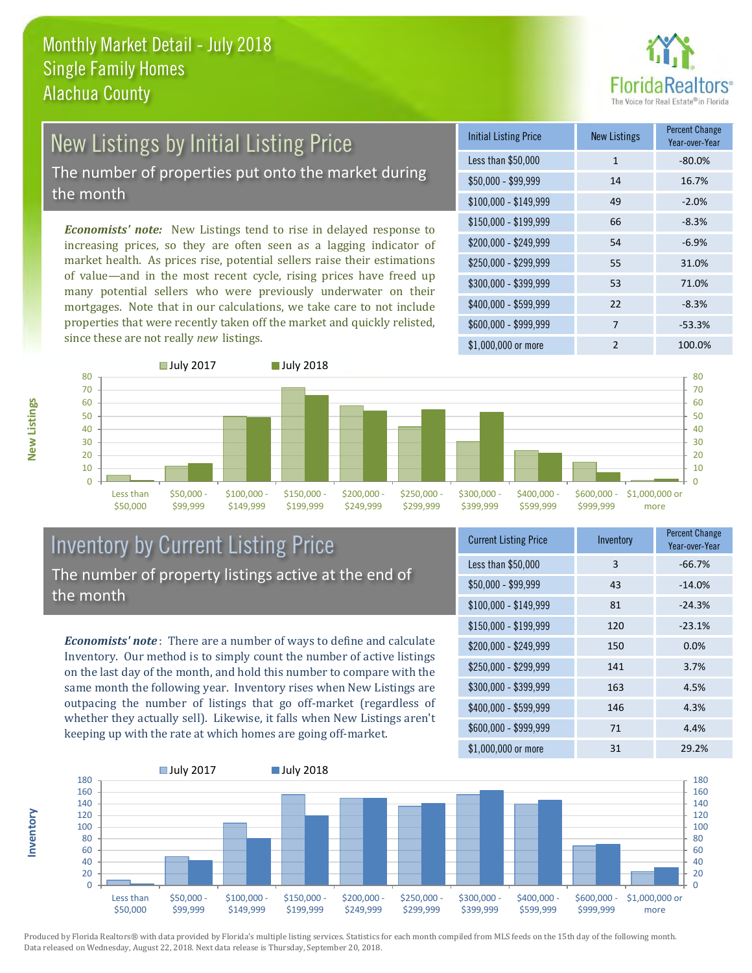

# New Listings by Initial Listing Price

The number of properties put onto the market during the month

*Economists' note:* New Listings tend to rise in delayed response to increasing prices, so they are often seen as a lagging indicator of market health. As prices rise, potential sellers raise their estimations of value—and in the most recent cycle, rising prices have freed up many potential sellers who were previously underwater on their mortgages. Note that in our calculations, we take care to not include properties that were recently taken off the market and quickly relisted, since these are not really *new* listings.

| <b>Initial Listing Price</b> | <b>New Listings</b> | <b>Percent Change</b><br>Year-over-Year |
|------------------------------|---------------------|-----------------------------------------|
| Less than \$50,000           | 1                   | $-80.0%$                                |
| \$50,000 - \$99,999          | 14                  | 16.7%                                   |
| $$100,000 - $149,999$        | 49                  | $-2.0%$                                 |
| $$150,000 - $199,999$        | 66                  | $-8.3%$                                 |
| \$200,000 - \$249,999        | 54                  | $-6.9%$                                 |
| \$250,000 - \$299,999        | 55                  | 31.0%                                   |
| \$300,000 - \$399,999        | 53                  | 71.0%                                   |
| \$400,000 - \$599,999        | 22                  | $-8.3%$                                 |
| \$600,000 - \$999,999        | 7                   | $-53.3%$                                |
| \$1,000,000 or more          | $\mathfrak{p}$      | 100.0%                                  |



### Inventory by Current Listing Price The number of property listings active at the end of the month

*Economists' note* : There are a number of ways to define and calculate Inventory. Our method is to simply count the number of active listings on the last day of the month, and hold this number to compare with the same month the following year. Inventory rises when New Listings are outpacing the number of listings that go off-market (regardless of whether they actually sell). Likewise, it falls when New Listings aren't keeping up with the rate at which homes are going off-market.

| <b>Current Listing Price</b> | Inventory | <b>Percent Change</b><br>Year-over-Year |
|------------------------------|-----------|-----------------------------------------|
| Less than \$50,000           | 3         | $-66.7%$                                |
| $$50,000 - $99,999$          | 43        | $-14.0%$                                |
| $$100,000 - $149,999$        | 81        | $-24.3%$                                |
| $$150,000 - $199,999$        | 120       | $-23.1%$                                |
| \$200,000 - \$249,999        | 150       | 0.0%                                    |
| \$250,000 - \$299,999        | 141       | 3.7%                                    |
| \$300,000 - \$399,999        | 163       | 4.5%                                    |
| \$400,000 - \$599,999        | 146       | 4.3%                                    |
| \$600,000 - \$999,999        | 71        | 4.4%                                    |
| \$1,000,000 or more          | 31        | 29.2%                                   |



Produced by Florida Realtors® with data provided by Florida's multiple listing services. Statistics for each month compiled from MLS feeds on the 15th day of the following month. Data released on Wednesday, August 22, 2018. Next data release is Thursday, September 20, 2018.

**Inventory**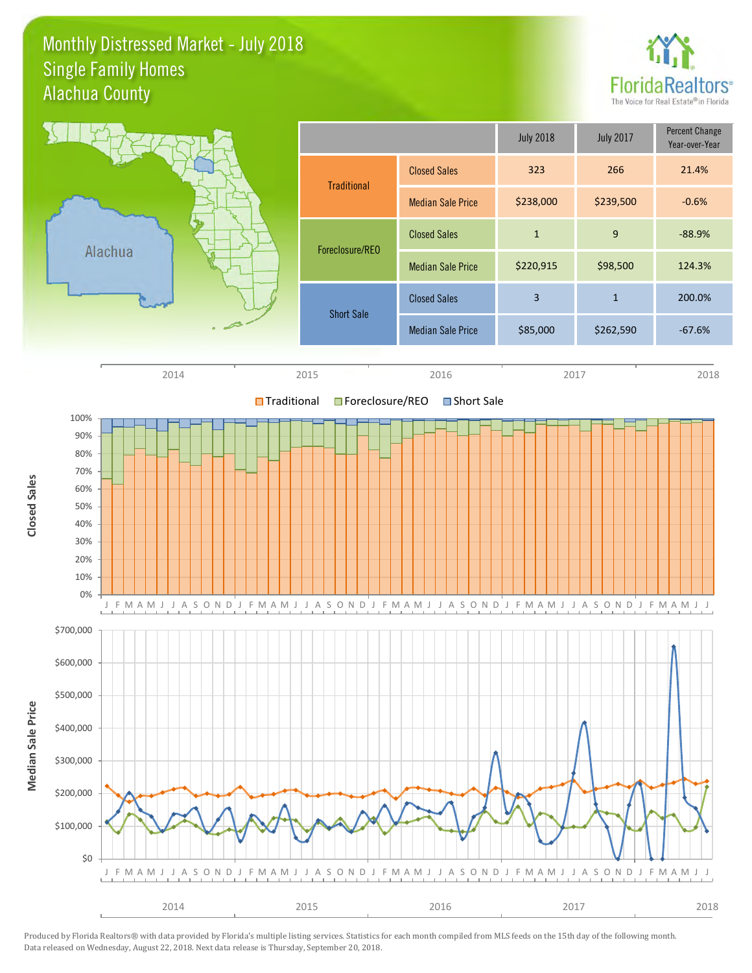### Monthly Distressed Market - July 2018 Alachua County Single Family Homes



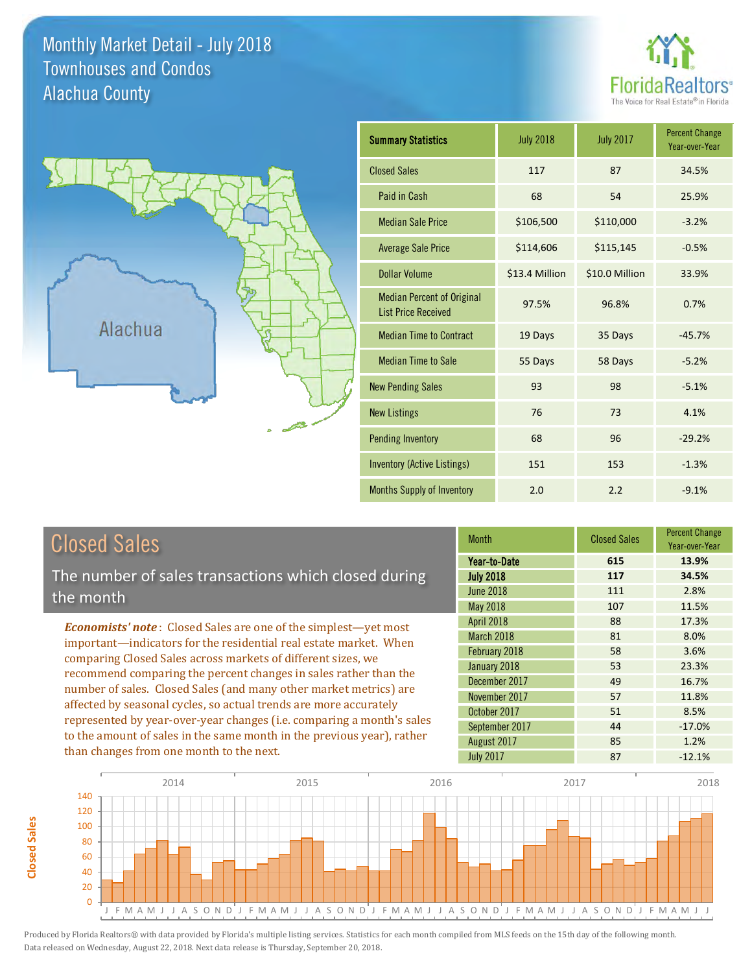### Monthly Market Detail - July 2018 Alachua County Townhouses and Condos





**Closed Sales**

**Closed Sales** 

| <b>Summary Statistics</b>                                       | <b>July 2018</b> | <b>July 2017</b> | <b>Percent Change</b><br>Year-over-Year |
|-----------------------------------------------------------------|------------------|------------------|-----------------------------------------|
| <b>Closed Sales</b>                                             | 117              | 87               | 34.5%                                   |
| Paid in Cash                                                    | 68               | 54               | 25.9%                                   |
| <b>Median Sale Price</b>                                        | \$106,500        | \$110,000        | $-3.2%$                                 |
| <b>Average Sale Price</b>                                       | \$114,606        | \$115,145        | $-0.5%$                                 |
| <b>Dollar Volume</b>                                            | \$13.4 Million   | \$10.0 Million   | 33.9%                                   |
| <b>Median Percent of Original</b><br><b>List Price Received</b> | 97.5%            | 96.8%            | 0.7%                                    |
| <b>Median Time to Contract</b>                                  | 19 Days          | 35 Days          | $-45.7%$                                |
| <b>Median Time to Sale</b>                                      | 55 Days          | 58 Days          | $-5.2%$                                 |
| <b>New Pending Sales</b>                                        | 93               | 98               | $-5.1%$                                 |
| <b>New Listings</b>                                             | 76               | 73               | 4.1%                                    |
| <b>Pending Inventory</b>                                        | 68               | 96               | $-29.2%$                                |
| Inventory (Active Listings)                                     | 151              | 153              | $-1.3%$                                 |
| Months Supply of Inventory                                      | 2.0              | 2.2              | $-9.1%$                                 |

| <b>Closed Sales</b>                                                                                                                   | <b>Month</b>      | <b>Closed Sales</b> | <b>Percent Change</b><br>Year-over-Year |
|---------------------------------------------------------------------------------------------------------------------------------------|-------------------|---------------------|-----------------------------------------|
|                                                                                                                                       | Year-to-Date      | 615                 | 13.9%                                   |
| The number of sales transactions which closed during                                                                                  | <b>July 2018</b>  | 117                 | 34.5%                                   |
| the month                                                                                                                             | <b>June 2018</b>  | 111                 | 2.8%                                    |
|                                                                                                                                       | May 2018          | 107                 | 11.5%                                   |
| <b>Economists' note:</b> Closed Sales are one of the simplest-yet most                                                                | <b>April 2018</b> | 88                  | 17.3%                                   |
| important-indicators for the residential real estate market. When                                                                     | March 2018        | 81                  | 8.0%                                    |
| comparing Closed Sales across markets of different sizes, we                                                                          | February 2018     | 58                  | 3.6%                                    |
| recommend comparing the percent changes in sales rather than the<br>number of sales. Closed Sales (and many other market metrics) are | January 2018      | 53                  | 23.3%                                   |
|                                                                                                                                       | December 2017     | 49                  | 16.7%                                   |
|                                                                                                                                       | November 2017     | 57                  | 11.8%                                   |
| affected by seasonal cycles, so actual trends are more accurately                                                                     | October 2017      | 51                  | 8.5%                                    |
| represented by year-over-year changes (i.e. comparing a month's sales                                                                 | September 2017    | 44                  | $-17.0%$                                |
| to the amount of sales in the same month in the previous year), rather                                                                | August 2017       | 85                  | 1.2%                                    |
| than changes from one month to the next.                                                                                              | <b>July 2017</b>  | 87                  | $-12.1%$                                |

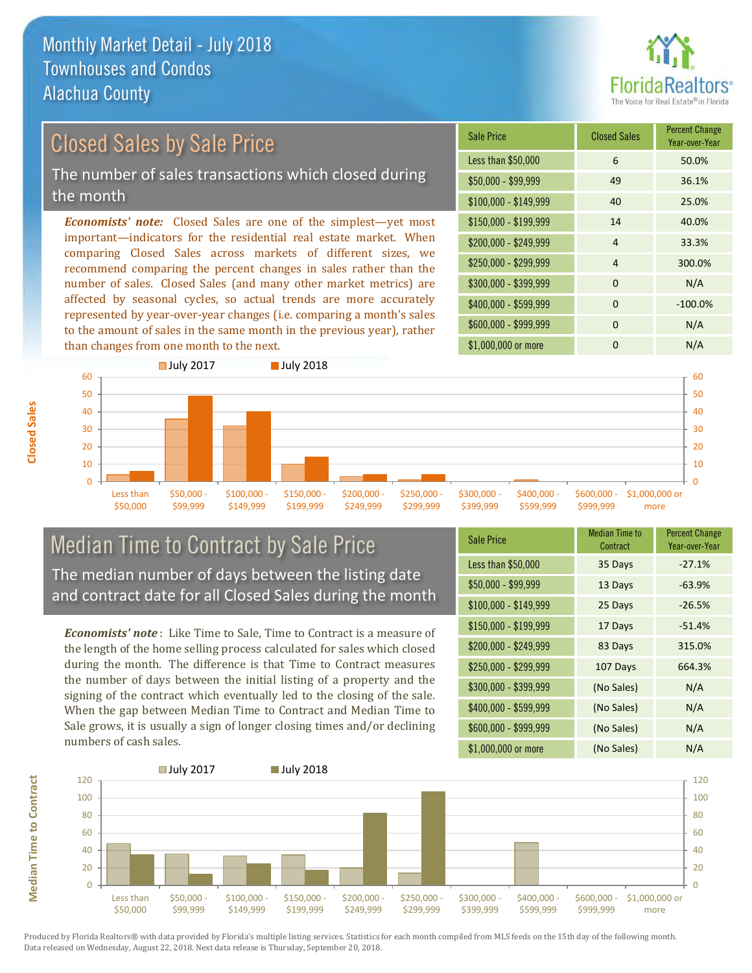**Closed Sales**

**Median Time to Contract** 



#### \$100,000 - \$149,999 40 25.0% Sale Price Closed Sales Percent Change Year-over-Year Less than \$50,000 6 50.0% \$50,000 - \$99,999 49 36.1% \$150,000 - \$199,999 14 40.0% \$200,000 - \$249,999 4 33.3% *Economists' note:* Closed Sales are one of the simplest—yet most important—indicators for the residential real estate market. When comparing Closed Sales across markets of different sizes, we recommend comparing the percent changes in sales rather than the number of sales. Closed Sales (and many other market metrics) are \$250,000 - \$299,999 4 300.0% \$300,000 - \$399,999 0 0 N/A Closed Sales by Sale Price The number of sales transactions which closed during the month

affected by seasonal cycles, so actual trends are more accurately represented by year-over-year changes (i.e. comparing a month's sales to the amount of sales in the same month in the previous year), rather than changes from one month to the next.





### Median Time to Contract by Sale Price The median number of days between the listing date and contract date for all Closed Sales during the month

*Economists' note* : Like Time to Sale, Time to Contract is a measure of the length of the home selling process calculated for sales which closed during the month. The difference is that Time to Contract measures the number of days between the initial listing of a property and the signing of the contract which eventually led to the closing of the sale. When the gap between Median Time to Contract and Median Time to Sale grows, it is usually a sign of longer closing times and/or declining numbers of cash sales.

| <b>Sale Price</b>     | <b>Median Time to</b><br>Contract | <b>Percent Change</b><br>Year-over-Year |
|-----------------------|-----------------------------------|-----------------------------------------|
| Less than \$50,000    | 35 Days                           | $-27.1%$                                |
| $$50,000 - $99,999$   | 13 Days                           | $-63.9%$                                |
| $$100,000 - $149,999$ | 25 Days                           | $-26.5%$                                |
| $$150,000 - $199,999$ | 17 Days                           | $-51.4%$                                |
| \$200,000 - \$249,999 | 83 Days                           | 315.0%                                  |
| \$250,000 - \$299,999 | 107 Days                          | 664.3%                                  |
| \$300,000 - \$399,999 | (No Sales)                        | N/A                                     |
| \$400,000 - \$599,999 | (No Sales)                        | N/A                                     |
| \$600,000 - \$999,999 | (No Sales)                        | N/A                                     |
| \$1,000,000 or more   | (No Sales)                        | N/A                                     |

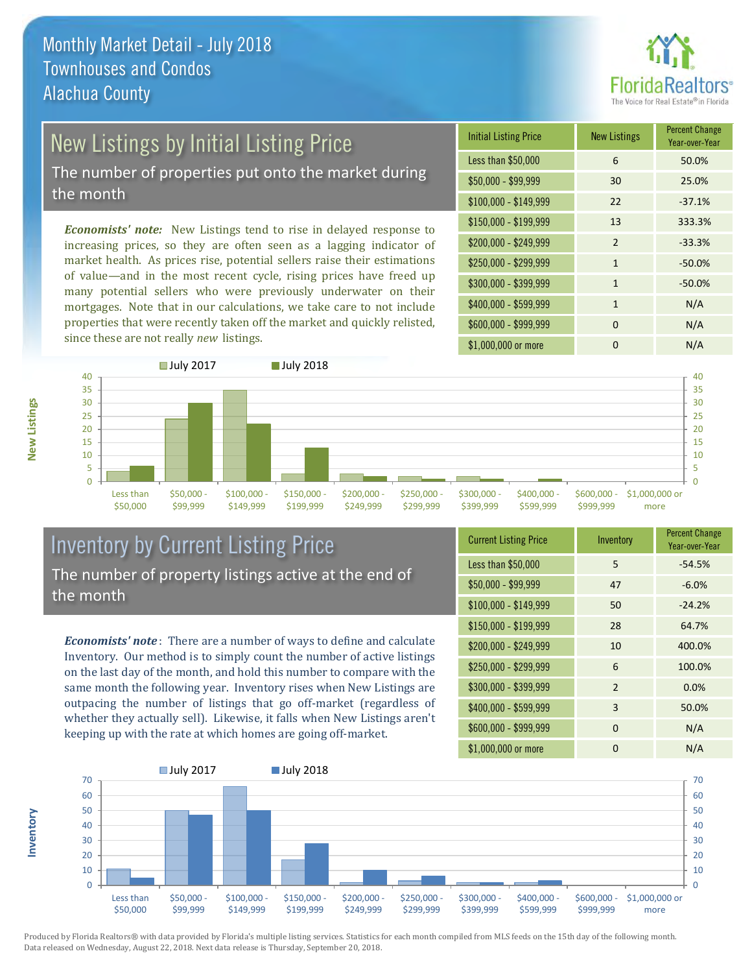

## New Listings by Initial Listing Price

The number of properties put onto the market during the month

*Economists' note:* New Listings tend to rise in delayed response to increasing prices, so they are often seen as a lagging indicator of market health. As prices rise, potential sellers raise their estimations of value—and in the most recent cycle, rising prices have freed up many potential sellers who were previously underwater on their mortgages. Note that in our calculations, we take care to not include properties that were recently taken off the market and quickly relisted, since these are not really *new* listings.

| <b>Initial Listing Price</b> | <b>New Listings</b> | <b>Percent Change</b><br>Year-over-Year |
|------------------------------|---------------------|-----------------------------------------|
| Less than \$50,000           | 6                   | 50.0%                                   |
| \$50,000 - \$99,999          | 30                  | 25.0%                                   |
| $$100,000 - $149,999$        | 22                  | $-37.1%$                                |
| $$150,000 - $199,999$        | 13                  | 333.3%                                  |
| \$200,000 - \$249,999        | $\overline{2}$      | $-33.3%$                                |
| \$250,000 - \$299,999        | 1                   | $-50.0%$                                |
| \$300,000 - \$399,999        | $\mathbf{1}$        | $-50.0%$                                |
| \$400,000 - \$599,999        | $\mathbf{1}$        | N/A                                     |
| \$600,000 - \$999,999        | $\Omega$            | N/A                                     |
| \$1,000,000 or more          | O                   | N/A                                     |



### Inventory by Current Listing Price The number of property listings active at the end of the month

*Economists' note* : There are a number of ways to define and calculate Inventory. Our method is to simply count the number of active listings on the last day of the month, and hold this number to compare with the same month the following year. Inventory rises when New Listings are outpacing the number of listings that go off-market (regardless of whether they actually sell). Likewise, it falls when New Listings aren't keeping up with the rate at which homes are going off-market.

| <b>Current Listing Price</b> | Inventory | <b>Percent Change</b><br>Year-over-Year |
|------------------------------|-----------|-----------------------------------------|
| Less than \$50,000           | 5         | $-54.5%$                                |
| $$50,000 - $99,999$          | 47        | $-6.0%$                                 |
| $$100,000 - $149,999$        | 50        | $-24.2%$                                |
| $$150,000 - $199,999$        | 28        | 64.7%                                   |
| \$200,000 - \$249,999        | 10        | 400.0%                                  |
| \$250,000 - \$299,999        | 6         | 100.0%                                  |
| \$300,000 - \$399,999        | 2         | 0.0%                                    |
| \$400,000 - \$599,999        | 3         | 50.0%                                   |
| \$600,000 - \$999,999        | $\Omega$  | N/A                                     |
| \$1,000,000 or more          | 0         | N/A                                     |



Produced by Florida Realtors® with data provided by Florida's multiple listing services. Statistics for each month compiled from MLS feeds on the 15th day of the following month. Data released on Wednesday, August 22, 2018. Next data release is Thursday, September 20, 2018.

**Inventory**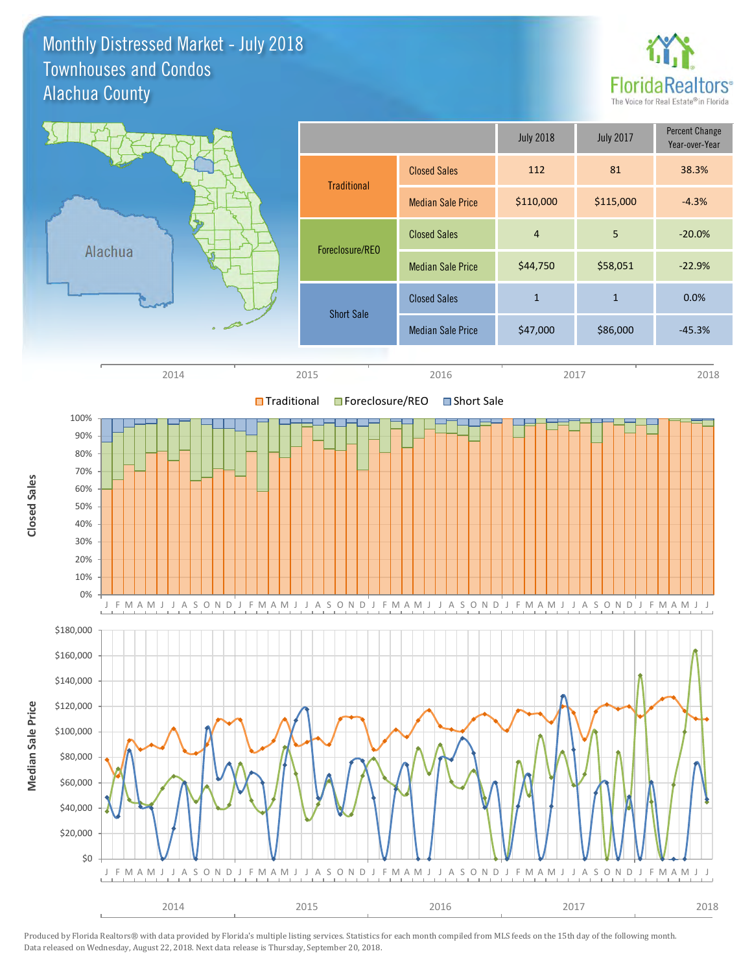### Monthly Distressed Market - July 2018 Alachua County Townhouses and Condos



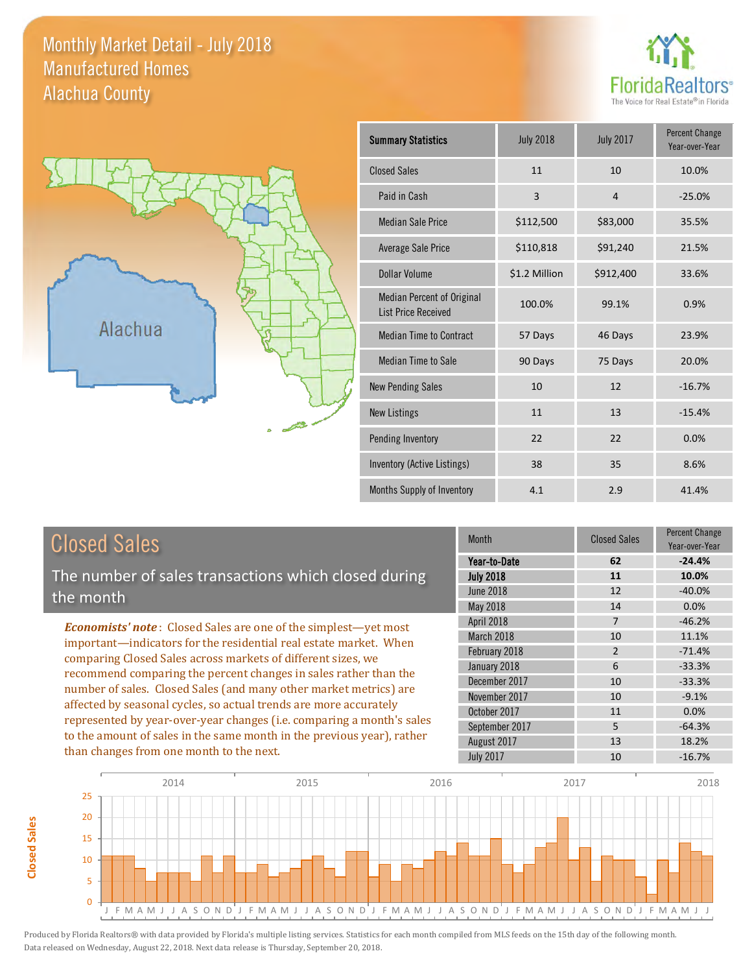### Monthly Market Detail - July 2018 Alachua County Manufactured Homes





**Closed Sales**

**Closed Sales** 

| <b>Summary Statistics</b>                                       | <b>July 2018</b> | <b>July 2017</b> | <b>Percent Change</b><br>Year-over-Year |
|-----------------------------------------------------------------|------------------|------------------|-----------------------------------------|
| <b>Closed Sales</b>                                             | 11               | 10               | 10.0%                                   |
| Paid in Cash                                                    | 3                | $\overline{4}$   | $-25.0%$                                |
| <b>Median Sale Price</b>                                        | \$112,500        | \$83,000         | 35.5%                                   |
| <b>Average Sale Price</b>                                       | \$110,818        | \$91,240         | 21.5%                                   |
| Dollar Volume                                                   | \$1.2 Million    | \$912,400        | 33.6%                                   |
| <b>Median Percent of Original</b><br><b>List Price Received</b> | 100.0%           | 99.1%            | 0.9%                                    |
| <b>Median Time to Contract</b>                                  | 57 Days          | 46 Days          | 23.9%                                   |
| <b>Median Time to Sale</b>                                      | 90 Days          | 75 Days          | 20.0%                                   |
| <b>New Pending Sales</b>                                        | 10               | 12               | $-16.7%$                                |
| <b>New Listings</b>                                             | 11               | 13               | $-15.4%$                                |
| Pending Inventory                                               | 22               | 22               | 0.0%                                    |
| Inventory (Active Listings)                                     | 38               | 35               | 8.6%                                    |
| Months Supply of Inventory                                      | 4.1              | 2.9              | 41.4%                                   |

| <b>Closed Sales</b>                                                                                                                                                                                                                                                                                                                                                                                                                                                                                                                                                                                                      | <b>Month</b>                                      | <b>Closed Sales</b>       | <b>Percent Change</b><br>Year-over-Year |
|--------------------------------------------------------------------------------------------------------------------------------------------------------------------------------------------------------------------------------------------------------------------------------------------------------------------------------------------------------------------------------------------------------------------------------------------------------------------------------------------------------------------------------------------------------------------------------------------------------------------------|---------------------------------------------------|---------------------------|-----------------------------------------|
| The number of sales transactions which closed during                                                                                                                                                                                                                                                                                                                                                                                                                                                                                                                                                                     | Year-to-Date<br><b>July 2018</b>                  | 62<br>11                  | $-24.4%$<br>10.0%                       |
| the month                                                                                                                                                                                                                                                                                                                                                                                                                                                                                                                                                                                                                | June 2018<br>May 2018                             | 12<br>14                  | $-40.0%$<br>0.0%                        |
| <b>Economists' note:</b> Closed Sales are one of the simplest—yet most<br>important-indicators for the residential real estate market. When<br>comparing Closed Sales across markets of different sizes, we<br>recommend comparing the percent changes in sales rather than the<br>number of sales. Closed Sales (and many other market metrics) are<br>affected by seasonal cycles, so actual trends are more accurately<br>represented by year-over-year changes (i.e. comparing a month's sales<br>to the amount of sales in the same month in the previous year), rather<br>than changes from one month to the next. | April 2018<br>March 2018<br>February 2018         | 7<br>10<br>$\overline{2}$ | $-46.2%$<br>11.1%<br>$-71.4%$           |
|                                                                                                                                                                                                                                                                                                                                                                                                                                                                                                                                                                                                                          | January 2018<br>December 2017                     | 6<br>10                   | $-33.3%$<br>$-33.3%$                    |
|                                                                                                                                                                                                                                                                                                                                                                                                                                                                                                                                                                                                                          | November 2017<br>October 2017                     | 10<br>11                  | $-9.1%$<br>0.0%                         |
|                                                                                                                                                                                                                                                                                                                                                                                                                                                                                                                                                                                                                          | September 2017<br>August 2017<br><b>July 2017</b> | 5<br>13<br>10             | $-64.3%$<br>18.2%<br>$-16.7%$           |

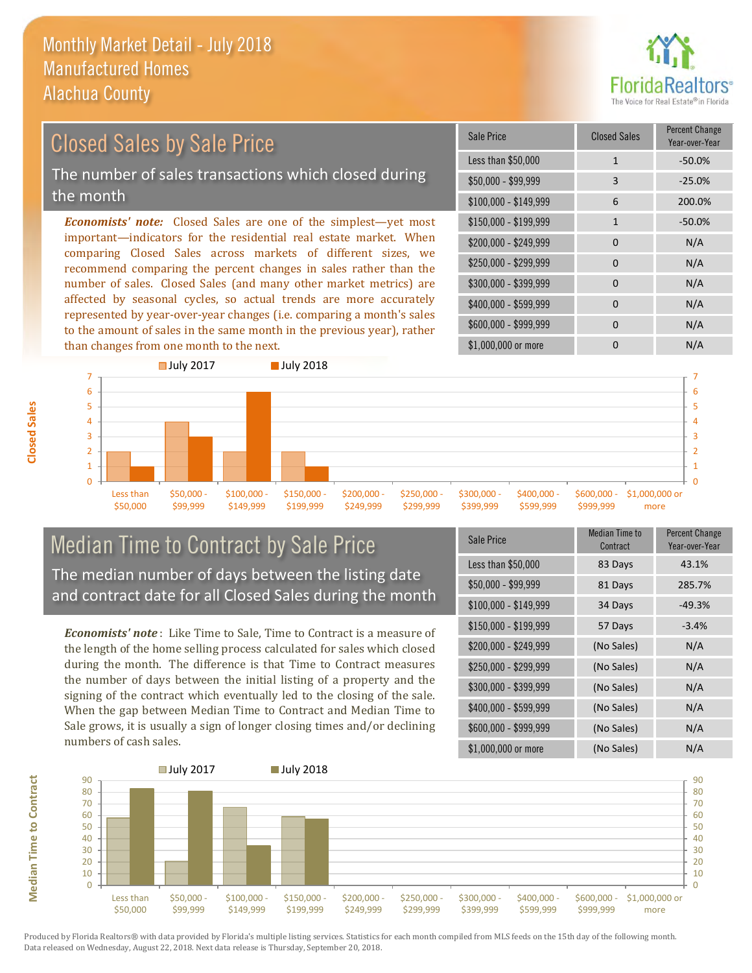

### Closed Sales by Sale Price

The number of sales transactions which closed during the month

*Economists' note:* Closed Sales are one of the simplest—yet most important—indicators for the residential real estate market. When comparing Closed Sales across markets of different sizes, we recommend comparing the percent changes in sales rather than the number of sales. Closed Sales (and many other market metrics) are affected by seasonal cycles, so actual trends are more accurately represented by year-over-year changes (i.e. comparing a month's sales to the amount of sales in the same month in the previous year), rather than changes from one month to the next.

| Sale Price            | <b>Closed Sales</b> | <b>Percent Change</b><br>Year-over-Year |
|-----------------------|---------------------|-----------------------------------------|
| Less than \$50,000    | $\mathbf{1}$        | $-50.0%$                                |
| $$50,000 - $99,999$   | 3                   | $-25.0%$                                |
| $$100,000 - $149,999$ | 6                   | 200.0%                                  |
| $$150,000 - $199,999$ | $\mathbf{1}$        | $-50.0%$                                |
| \$200,000 - \$249,999 | $\Omega$            | N/A                                     |
| \$250,000 - \$299,999 | 0                   | N/A                                     |
| \$300,000 - \$399,999 | $\Omega$            | N/A                                     |
| \$400,000 - \$599,999 | 0                   | N/A                                     |
| \$600,000 - \$999,999 | $\Omega$            | N/A                                     |
| \$1,000,000 or more   | O                   | N/A                                     |



### Median Time to Contract by Sale Price The median number of days between the listing date and contract date for all Closed Sales during the month

*Economists' note* : Like Time to Sale, Time to Contract is a measure of the length of the home selling process calculated for sales which closed during the month. The difference is that Time to Contract measures the number of days between the initial listing of a property and the signing of the contract which eventually led to the closing of the sale. When the gap between Median Time to Contract and Median Time to Sale grows, it is usually a sign of longer closing times and/or declining numbers of cash sales.

| <b>Sale Price</b>     | Median Time to<br>Contract | <b>Percent Change</b><br>Year-over-Year |
|-----------------------|----------------------------|-----------------------------------------|
| Less than \$50,000    | 83 Days                    | 43.1%                                   |
| \$50,000 - \$99,999   | 81 Days                    | 285.7%                                  |
| $$100,000 - $149,999$ | 34 Days                    | $-49.3%$                                |
| $$150,000 - $199,999$ | 57 Days                    | $-3.4%$                                 |
| $$200,000 - $249,999$ | (No Sales)                 | N/A                                     |
| \$250,000 - \$299,999 | (No Sales)                 | N/A                                     |
| \$300,000 - \$399,999 | (No Sales)                 | N/A                                     |
| \$400,000 - \$599,999 | (No Sales)                 | N/A                                     |
| \$600,000 - \$999,999 | (No Sales)                 | N/A                                     |
| \$1,000,000 or more   | (No Sales)                 | N/A                                     |



Produced by Florida Realtors® with data provided by Florida's multiple listing services. Statistics for each month compiled from MLS feeds on the 15th day of the following month. Data released on Wednesday, August 22, 2018. Next data release is Thursday, September 20, 2018.

**Median Time to Contract**

**Median Time to Contract**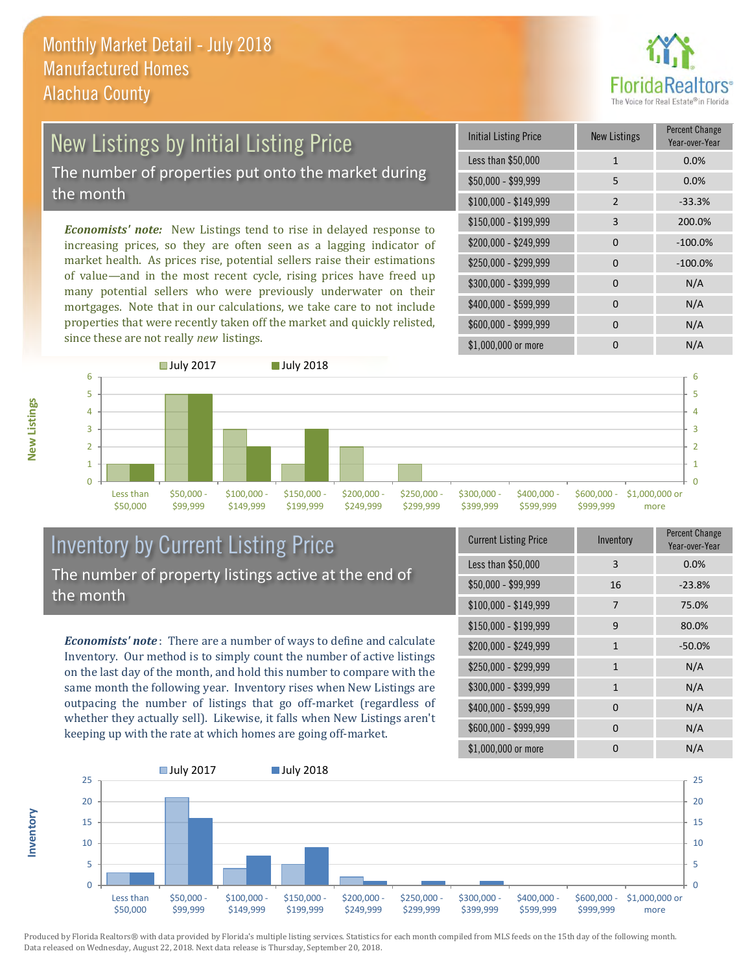

# New Listings by Initial Listing Price

The number of properties put onto the market during the month

*Economists' note:* New Listings tend to rise in delayed response to increasing prices, so they are often seen as a lagging indicator of market health. As prices rise, potential sellers raise their estimations of value—and in the most recent cycle, rising prices have freed up many potential sellers who were previously underwater on their mortgages. Note that in our calculations, we take care to not include properties that were recently taken off the market and quickly relisted, since these are not really *new* listings.

| <b>Initial Listing Price</b> | <b>New Listings</b> | <b>Percent Change</b><br>Year-over-Year |
|------------------------------|---------------------|-----------------------------------------|
| Less than \$50,000           | $\mathbf{1}$        | 0.0%                                    |
| $$50,000 - $99,999$          | 5                   | 0.0%                                    |
| $$100,000 - $149,999$        | $\mathcal{P}$       | $-33.3%$                                |
| \$150,000 - \$199,999        | 3                   | 200.0%                                  |
| \$200,000 - \$249,999        | $\Omega$            | $-100.0%$                               |
| \$250,000 - \$299,999        | $\Omega$            | $-100.0%$                               |
| \$300,000 - \$399,999        | 0                   | N/A                                     |
| \$400,000 - \$599,999        | $\Omega$            | N/A                                     |
| \$600,000 - \$999,999        | O                   | N/A                                     |
| \$1,000,000 or more          |                     | N/A                                     |



### Inventory by Current Listing Price The number of property listings active at the end of the month

*Economists' note* : There are a number of ways to define and calculate Inventory. Our method is to simply count the number of active listings on the last day of the month, and hold this number to compare with the same month the following year. Inventory rises when New Listings are outpacing the number of listings that go off-market (regardless of whether they actually sell). Likewise, it falls when New Listings aren't keeping up with the rate at which homes are going off-market.

| <b>Current Listing Price</b> | Inventory    | Percent Change<br>Year-over-Year |
|------------------------------|--------------|----------------------------------|
| Less than \$50,000           | 3            | 0.0%                             |
| $$50,000 - $99,999$          | 16           | $-23.8%$                         |
| $$100,000 - $149,999$        | 7            | 75.0%                            |
| $$150,000 - $199,999$        | 9            | 80.0%                            |
| \$200,000 - \$249,999        | $\mathbf{1}$ | $-50.0%$                         |
| \$250,000 - \$299,999        | 1            | N/A                              |
| \$300,000 - \$399,999        | $\mathbf{1}$ | N/A                              |
| \$400,000 - \$599,999        | 0            | N/A                              |
| \$600,000 - \$999,999        | 0            | N/A                              |
| \$1,000,000 or more          | 0            | N/A                              |



Produced by Florida Realtors® with data provided by Florida's multiple listing services. Statistics for each month compiled from MLS feeds on the 15th day of the following month. Data released on Wednesday, August 22, 2018. Next data release is Thursday, September 20, 2018.

**Inventory**